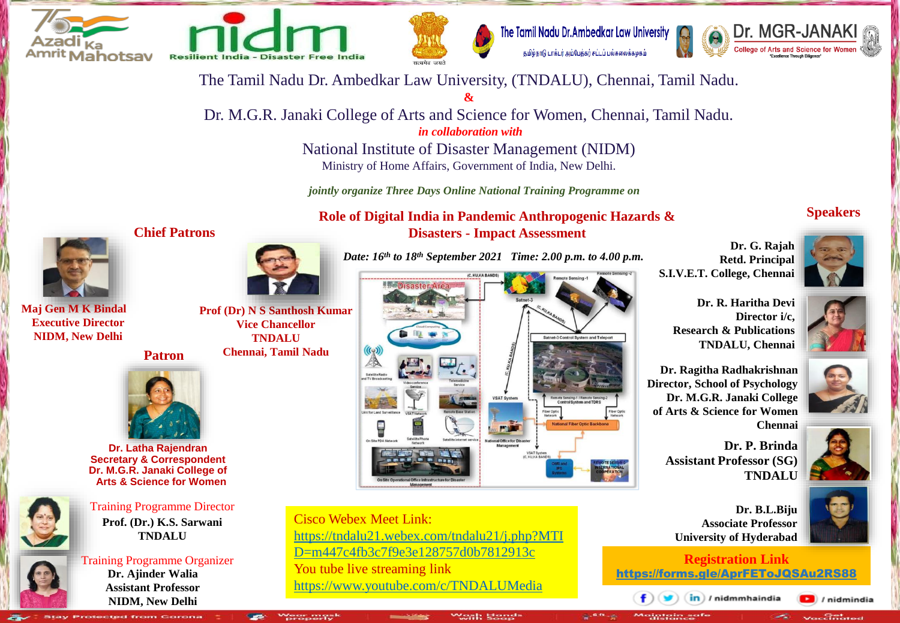

**Maj Gen M K Bindal Executive Director NIDM, New Delhi**





The Tamil Nadu Dr. Ambedkar Law University கமிழ்நாடு டாக்டர் அம்பேக்கர் சட்டப் பல்கலைக்கழகம்



The Tamil Nadu Dr. Ambedkar Law University, (TNDALU), Chennai, Tamil Nadu.

**&** Dr. M.G.R. Janaki College of Arts and Science for Women, Chennai, Tamil Nadu. *in collaboration with*

> National Institute of Disaster Management (NIDM) Ministry of Home Affairs, Government of India, New Delhi.

*jointly organize Three Days Online National Training Programme on*

**Role of Digital India in Pandemic Anthropogenic Hazards & Disasters - Impact Assessment**

#### **Speakers**



**Dr. R. Haritha Devi Director i/c, Research & Publications TNDALU, Chennai**

**Dr. Ragitha Radhakrishnan Director, School of Psychology Dr. M.G.R. Janaki College of Arts & Science for Women Chennai**

> **Dr. P. Brinda Assistant Professor (SG) TNDALU**





 $\Box$  / nidmindia ے<br>Vaccinated

**Dr. B.L.Biju Associate Professor University of Hyderabad**

**Registration Link**  https://forms.gle/AprFEToJQSAu2RS88

in) / nidmmhaindia

**Chief Patrons**



**Prof (Dr) N S Santhosh Kumar Vice Chancellor TNDALU Patron Chennai, Tamil Nadu**



**Dr. Latha Rajendran Secretary & Correspondent Dr. M.G.R. Janaki College of Arts & Science for Women**



Training Programme Director **Prof. (Dr.) K.S. Sarwani TNDALU**



Training Programme Organizer **Dr. Ajinder Walia Assistant Professor NIDM, New Delhi** 





Cisco Webex Meet Link: https://tndalu21.webex.com/tndalu21/j.php?MTI D=m447c4fb3c7f9e3e128757d0b7812913c You tube live streaming link https://www.youtube.com/c/TNDALUMedia



**Retd. Principal S.I.V.E.T. College, Chennai**

**Dr. G. Rajah**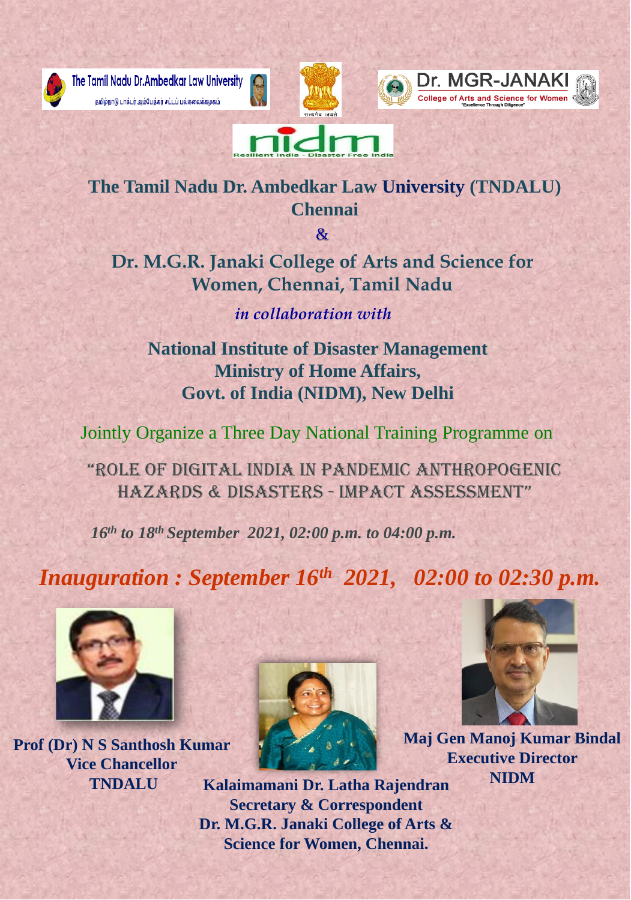

The Tamil Nadu Dr. Ambedkar Law University தமிழ்நாடு டாக்டர் அம்பேத்கர் சட்டப் பல்கலைக்கழகம்









**National Institute of Disaster Management Ministry of Home Affairs, Govt. of India (NIDM), New Delhi**

Jointly Organize a Three Day National Training Programme on

"Role of Digital inDia in PanDemic anthRoPogenic haZaRDS & DiSaSteRS - imPact assessment"

*16th to 18th September 2021, 02:00 p.m. to 04:00 p.m.*

*Inauguration : September 16th 2021, 02:00 to 02:30 p.m.* 









*in collaboration with*

**The Tamil Nadu Dr. Ambedkar Law University (TNDALU) Chennai**

 $\mathcal{R}_{I}$ 

**Dr. M.G.R. Janaki College of Arts and Science for Women, Chennai, Tamil Nadu**

# **Prof (Dr) N S Santhosh Kumar Vice Chancellor**



**TNDALU Kalaimamani Dr. Latha Rajendran Secretary & Correspondent Dr. M.G.R. Janaki College of Arts & Science for Women, Chennai.**

**Maj Gen Manoj Kumar Bindal Executive Director NIDM**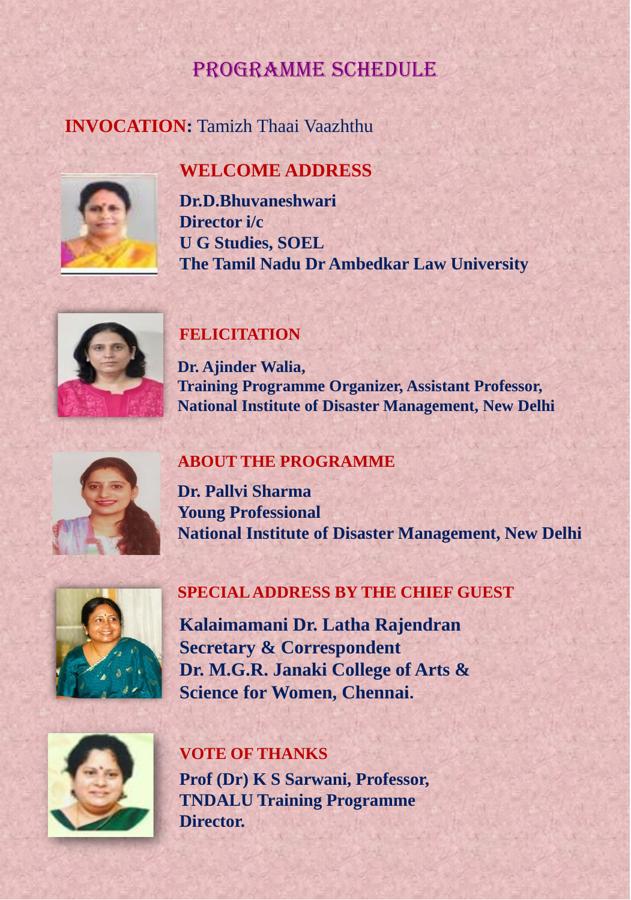# **INVOCATION:** Tamizh Thaai Vaazhthu



# PRogRamme ScheDUle

**Dr.D.Bhuvaneshwari Director i/c U G Studies, SOEL The Tamil Nadu Dr Ambedkar Law University**



### **FELICITATION**

**Dr. Ajinder Walia, Training Programme Organizer, Assistant Professor, National Institute of Disaster Management, New Delhi**



**Kalaimamani Dr. Latha Rajendran Secretary & Correspondent Dr. M.G.R. Janaki College of Arts & Science for Women, Chennai.**



### **SPECIAL ADDRESS BY THE CHIEF GUEST**

### **ABOUT THE PROGRAMME**

**Dr. Pallvi Sharma Young Professional National Institute of Disaster Management, New Delhi**



### **VOTE OF THANKS**

**Prof (Dr) K S Sarwani, Professor, TNDALU Training Programme Director.**

## **WELCOME ADDRESS**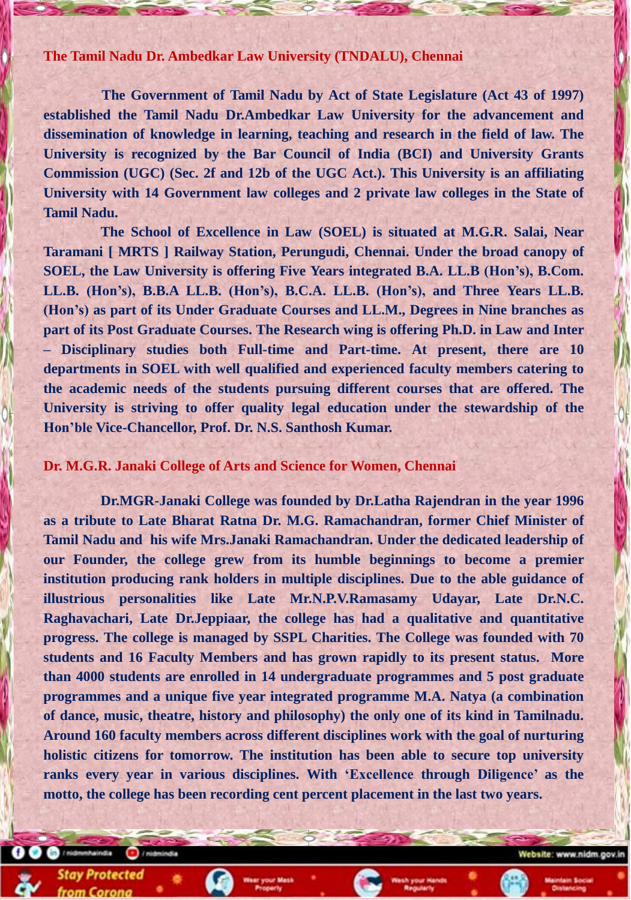**The Tamil Nadu Dr. Ambedkar Law University (TNDALU), Chennai**

[[[[**The Government of Tamil Nadu by Act of State Legislature (Act 43 of 1997) established the Tamil Nadu Dr.Ambedkar Law University for the advancement and dissemination of knowledge in learning, teaching and research in the field of law. The University is recognized by the Bar Council of India (BCI) and University Grants Commission (UGC) (Sec. 2f and 12b of the UGC Act.). This University is an affiliating University with 14 Government law colleges and 2 private law colleges in the State of Tamil Nadu.**

**The School of Excellence in Law (SOEL) is situated at M.G.R. Salai, Near Taramani [ MRTS ] Railway Station, Perungudi, Chennai. Under the broad canopy of SOEL, the Law University is offering Five Years integrated B.A. LL.B (Hon's), B.Com. LL.B. (Hon's), B.B.A LL.B. (Hon's), B.C.A. LL.B. (Hon's), and Three Years LL.B. (Hon's) as part of its Under Graduate Courses and LL.M., Degrees in Nine branches as part of its Post Graduate Courses. The Research wing is offering Ph.D. in Law and Inter – Disciplinary studies both Full-time and Part-time. At present, there are 10 departments in SOEL with well qualified and experienced faculty members catering to the academic needs of the students pursuing different courses that are offered. The University is striving to offer quality legal education under the stewardship of the Hon'ble Vice-Chancellor, Prof. Dr. N.S. Santhosh Kumar.**

#### **Dr. M.G.R. Janaki College of Arts and Science for Women, Chennai**

/ nidmm/laindia

**Stay Protected** 

from Corona

+ / nidmindia

**Dr.MGR-Janaki College was founded by Dr.Latha Rajendran in the year 1996 as a tribute to Late Bharat Ratna Dr. M.G. Ramachandran, former Chief Minister of Tamil Nadu and his wife Mrs.Janaki Ramachandran. Under the dedicated leadership of our Founder, the college grew from its humble beginnings to become a premier institution producing rank holders in multiple disciplines. Due to the able guidance of illustrious personalities like Late Mr.N.P.V.Ramasamy Udayar, Late Dr.N.C. Raghavachari, Late Dr.Jeppiaar, the college has had a qualitative and quantitative progress. The college is managed by SSPL Charities. The College was founded with 70 students and 16 Faculty Members and has grown rapidly to its present status. More than 4000 students are enrolled in 14 undergraduate programmes and 5 post graduate programmes and a unique five year integrated programme M.A. Natya (a combination of dance, music, theatre, history and philosophy) the only one of its kind in Tamilnadu. Around 160 faculty members across different disciplines work with the goal of nurturing holistic citizens for tomorrow. The institution has been able to secure top university ranks every year in various disciplines. With 'Excellence through Diligence' as the motto, the college has been recording cent percent placement in the last two years.**

Website: www.nidm.gov.ir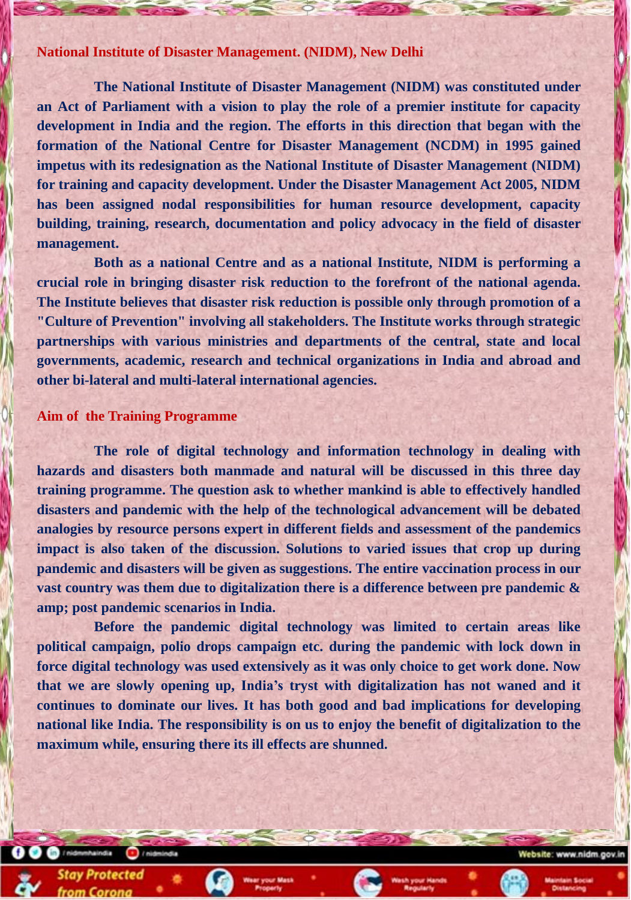#### **National Institute of Disaster Management. (NIDM), New Delhi**

**The National Institute of Disaster Management (NIDM) was constituted under an Act of Parliament with a vision to play the role of a premier institute for capacity development in India and the region. The efforts in this direction that began with the formation of the National Centre for Disaster Management (NCDM) in 1995 gained impetus with its redesignation as the National Institute of Disaster Management (NIDM) for training and capacity development. Under the Disaster Management Act 2005, NIDM has been assigned nodal responsibilities for human resource development, capacity building, training, research, documentation and policy advocacy in the field of disaster management.**

**Both as a national Centre and as a national Institute, NIDM is performing a crucial role in bringing disaster risk reduction to the forefront of the national agenda. The Institute believes that disaster risk reduction is possible only through promotion of a "Culture of Prevention" involving all stakeholders. The Institute works through strategic partnerships with various ministries and departments of the central, state and local governments, academic, research and technical organizations in India and abroad and other bi-lateral and multi-lateral international agencies.**

#### **Aim of the Training Programme**

**The role of digital technology and information technology in dealing with hazards and disasters both manmade and natural will be discussed in this three day training programme. The question ask to whether mankind is able to effectively handled disasters and pandemic with the help of the technological advancement will be debated analogies by resource persons expert in different fields and assessment of the pandemics impact is also taken of the discussion. Solutions to varied issues that crop up during pandemic and disasters will be given as suggestions. The entire vaccination process in our vast country was them due to digitalization there is a difference between pre pandemic & amp; post pandemic scenarios in India.**

**Before the pandemic digital technology was limited to certain areas like political campaign, polio drops campaign etc. during the pandemic with lock down in force digital technology was used extensively as it was only choice to get work done. Now that we are slowly opening up, India's tryst with digitalization has not waned and it continues to dominate our lives. It has both good and bad implications for developing**

**national like India. The responsibility is on us to enjoy the benefit of digitalization to the maximum while, ensuring there its ill effects are shunned.**





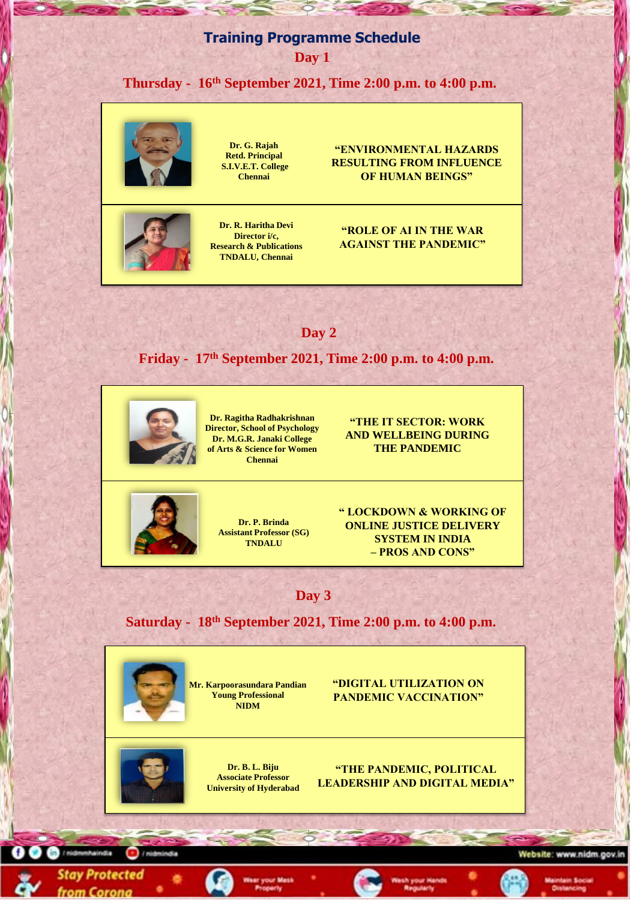### **Training Programme Schedule**

**Day 1**

**Thursday - 16th September 2021, Time 2:00 p.m. to 4:00 p.m.**



**Dr. G. Rajah Retd. Principal S.I.V.E.T. College Chennai**

**"ENVIRONMENTAL HAZARDS RESULTING FROM INFLUENCE OF HUMAN BEINGS"**



**Dr. R. Haritha Devi Director i/c, Research & Publications TNDALU, Chennai**

**"ROLE OF AI IN THE WAR AGAINST THE PANDEMIC"**

### **Day 2**

**Friday - 17th September 2021, Time 2:00 p.m. to 4:00 p.m.**





**Saturday - 18th September 2021, Time 2:00 p.m. to 4:00 p.m.**



**Dr. Ragitha Radhakrishnan Director, School of Psychology Dr. M.G.R. Janaki College of Arts & Science for Women Chennai**

**"THE IT SECTOR: WORK AND WELLBEING DURING THE PANDEMIC**

**"DIGITAL UTILIZATION ON PANDEMIC VACCINATION"**



/ midmindia

**haindia** 

**Stay Protected** 

from Corona

#### **"THE PANDEMIC, POLITICAL LEADERSHIP AND DIGITAL MEDIA"**

Website: www.nidm.gov.in

**Mr. Karpoorasundara Pandian Young Professional NIDM**

> **Dr. B. L. Biju Associate Professor University of Hyderabad**

> > ar your Mask



**Dr. P. Brinda Assistant Professor (SG) TNDALU**

**" LOCKDOWN & WORKING OF ONLINE JUSTICE DELIVERY SYSTEM IN INDIA – PROS AND CONS"**